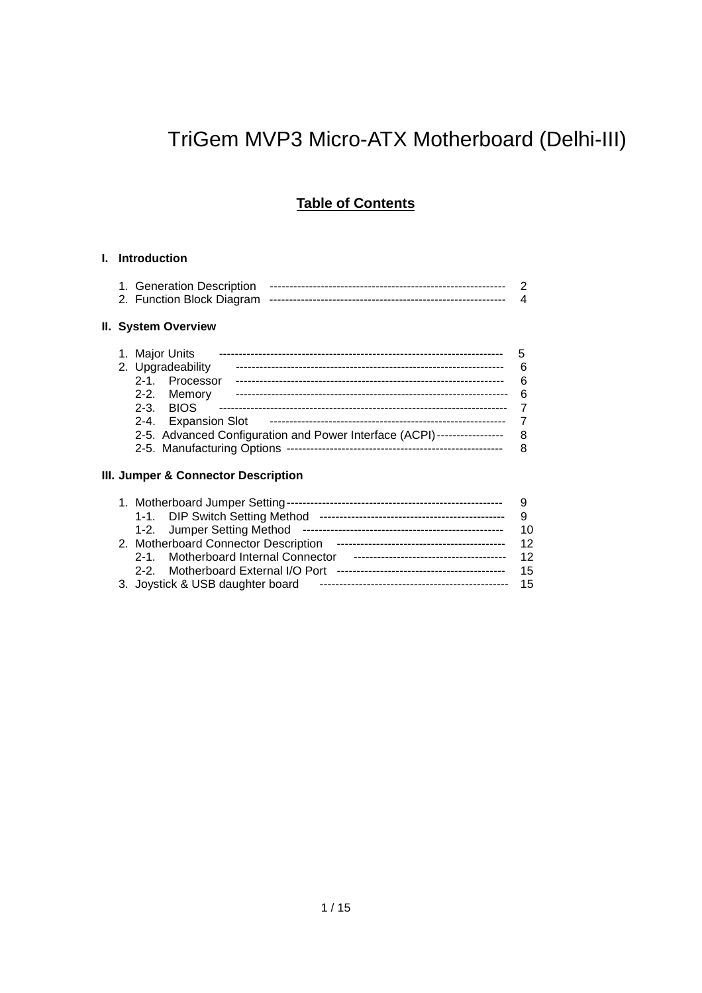# TriGem MVP3 Micro-ATX Motherboard (Delhi-III)

## **Table of Contents**

#### **I. Introduction**

#### **II. System Overview**

| 1. Major Units                                                          |    |
|-------------------------------------------------------------------------|----|
| 2. Upgradeability                                                       | 6  |
| 2-1. Processor                                                          | ิค |
| 2-2. Memory                                                             | ิค |
| $2-3$ BIOS                                                              |    |
| 2-4. Expansion Slot                                                     |    |
| 2-5. Advanced Configuration and Power Interface (ACPI)----------------- | 8  |
|                                                                         | 8  |
|                                                                         |    |

#### **III. Jumper & Connector Description**

| 1-1. DIP Switch Setting Method       |    |
|--------------------------------------|----|
| 1-2. Jumper Setting Method           | 10 |
| 2. Motherboard Connector Description | 12 |
| 2-1. Motherboard Internal Connector  | 12 |
| 2-2. Motherboard External I/O Port   | 15 |
| 3. Joystick & USB daughter board     | 15 |
|                                      |    |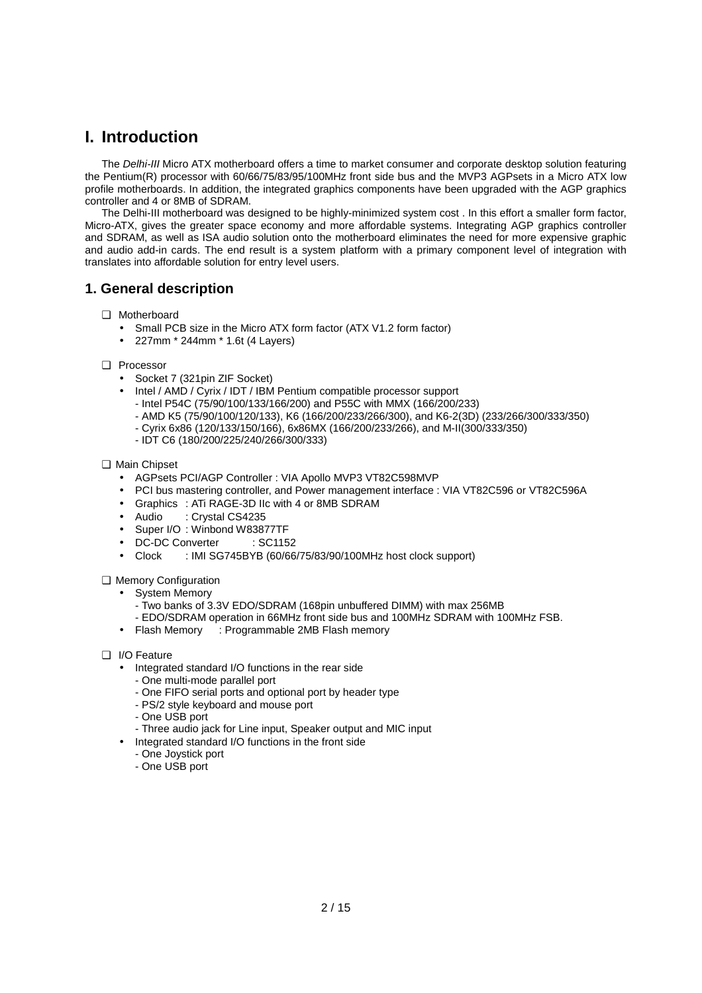## **I. Introduction**

The *Delhi-III* Micro ATX motherboard offers a time to market consumer and corporate desktop solution featuring the Pentium(R) processor with 60/66/75/83/95/100MHz front side bus and the MVP3 AGPsets in a Micro ATX low profile motherboards. In addition, the integrated graphics components have been upgraded with the AGP graphics controller and 4 or 8MB of SDRAM.

The Delhi-III motherboard was designed to be highly-minimized system cost . In this effort a smaller form factor, Micro-ATX, gives the greater space economy and more affordable systems. Integrating AGP graphics controller and SDRAM, as well as ISA audio solution onto the motherboard eliminates the need for more expensive graphic and audio add-in cards. The end result is a system platform with a primary component level of integration with translates into affordable solution for entry level users.

### **1. General description**

- ❑ Motherboard
	- Small PCB size in the Micro ATX form factor (ATX V1.2 form factor)
	- 227mm \* 244mm \* 1.6t (4 Layers)
- ❑ Processor
	- Socket 7 (321pin ZIF Socket)
	- Intel / AMD / Cyrix / IDT / IBM Pentium compatible processor support
		- Intel P54C (75/90/100/133/166/200) and P55C with MMX (166/200/233)
		- AMD K5 (75/90/100/120/133), K6 (166/200/233/266/300), and K6-2(3D) (233/266/300/333/350)
		- Cyrix 6x86 (120/133/150/166), 6x86MX (166/200/233/266), and M-II(300/333/350)
		- IDT C6 (180/200/225/240/266/300/333)
- ❑ Main Chipset
	- AGPsets PCI/AGP Controller : VIA Apollo MVP3 VT82C598MVP
	- PCI bus mastering controller, and Power management interface : VIA VT82C596 or VT82C596A
	- Graphics : ATi RAGE-3D IIc with 4 or 8MB SDRAM
	- Audio : Crystal CS4235
	- Super I/O: Winbond W83877TF
	- DC-DC Converter : SC1152
	- Clock : IMI SG745BYB (60/66/75/83/90/100MHz host clock support)

❑ Memory Configuration

- System Memory
	- Two banks of 3.3V EDO/SDRAM (168pin unbuffered DIMM) with max 256MB
- EDO/SDRAM operation in 66MHz front side bus and 100MHz SDRAM with 100MHz FSB.
- Flash Memory : Programmable 2MB Flash memory
- ❑ I/O Feature
	- Integrated standard I/O functions in the rear side
		- One multi-mode parallel port
		- One FIFO serial ports and optional port by header type
		- PS/2 style keyboard and mouse port
		- One USB port
		- Three audio jack for Line input, Speaker output and MIC input
	- Integrated standard I/O functions in the front side
		- One Joystick port
		- One USB port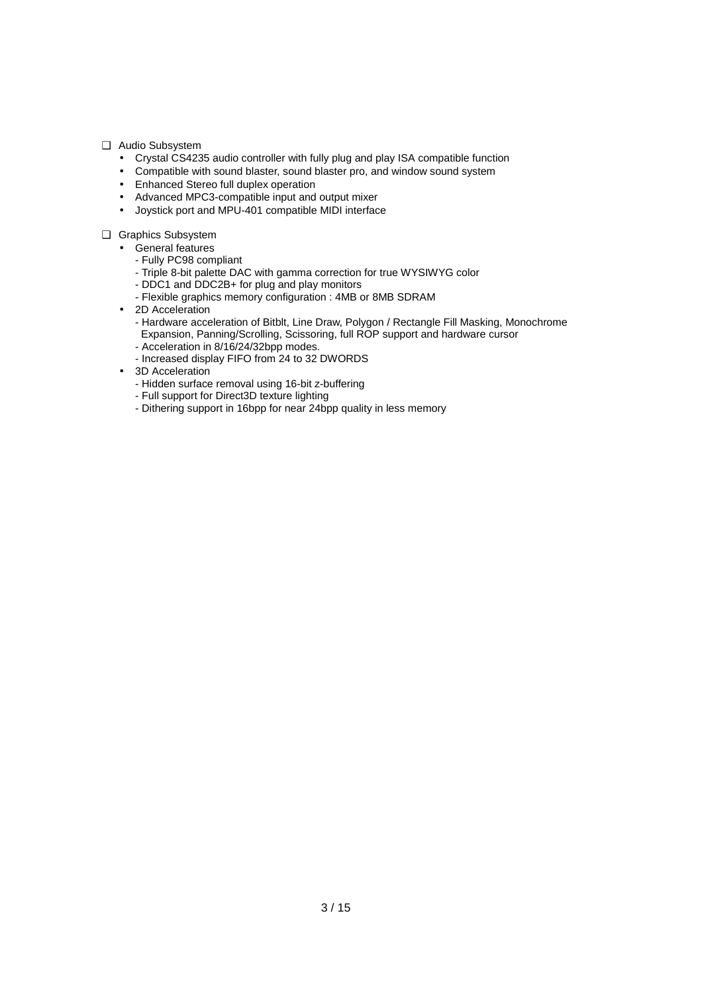❑ Audio Subsystem

- Crystal CS4235 audio controller with fully plug and play ISA compatible function
- Compatible with sound blaster, sound blaster pro, and window sound system
- Enhanced Stereo full duplex operation
- Advanced MPC3-compatible input and output mixer
- Joystick port and MPU-401 compatible MIDI interface
- ❑ Graphics Subsystem
	- General features
		- Fully PC98 compliant
		- Triple 8-bit palette DAC with gamma correction for true WYSIWYG color
		- DDC1 and DDC2B+ for plug and play monitors
		- Flexible graphics memory configuration : 4MB or 8MB SDRAM
	- 2D Acceleration
		- Hardware acceleration of Bitblt, Line Draw, Polygon / Rectangle Fill Masking, Monochrome Expansion, Panning/Scrolling, Scissoring, full ROP support and hardware cursor
		- Acceleration in 8/16/24/32bpp modes.
		- Increased display FIFO from 24 to 32 DWORDS
	- 3D Acceleration
		- Hidden surface removal using 16-bit z-buffering
		- Full support for Direct3D texture lighting
		- Dithering support in 16bpp for near 24bpp quality in less memory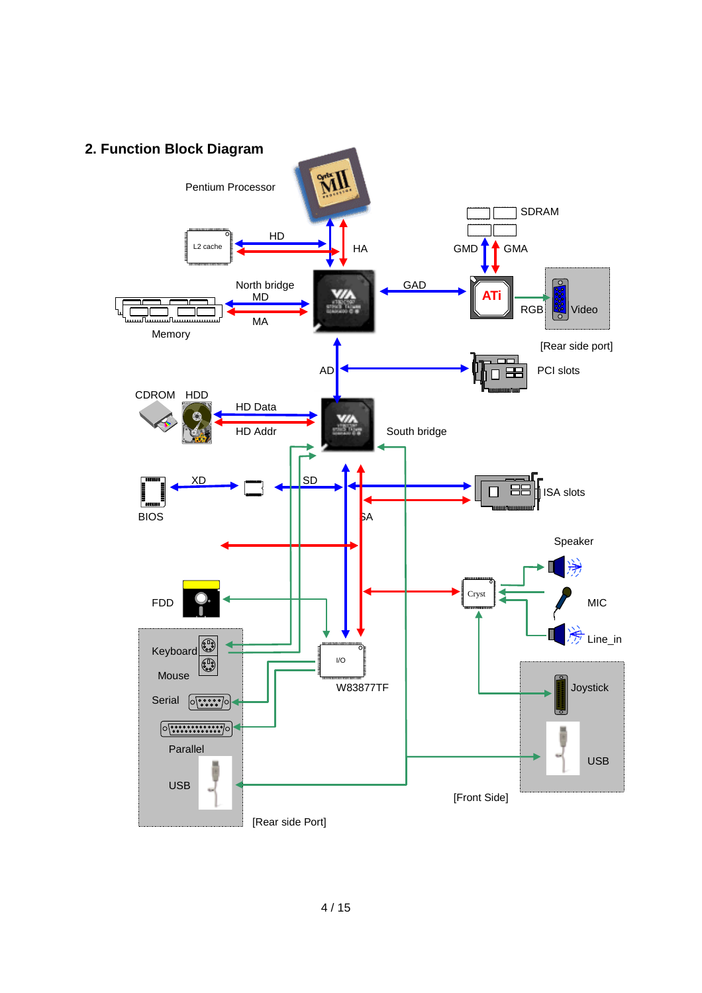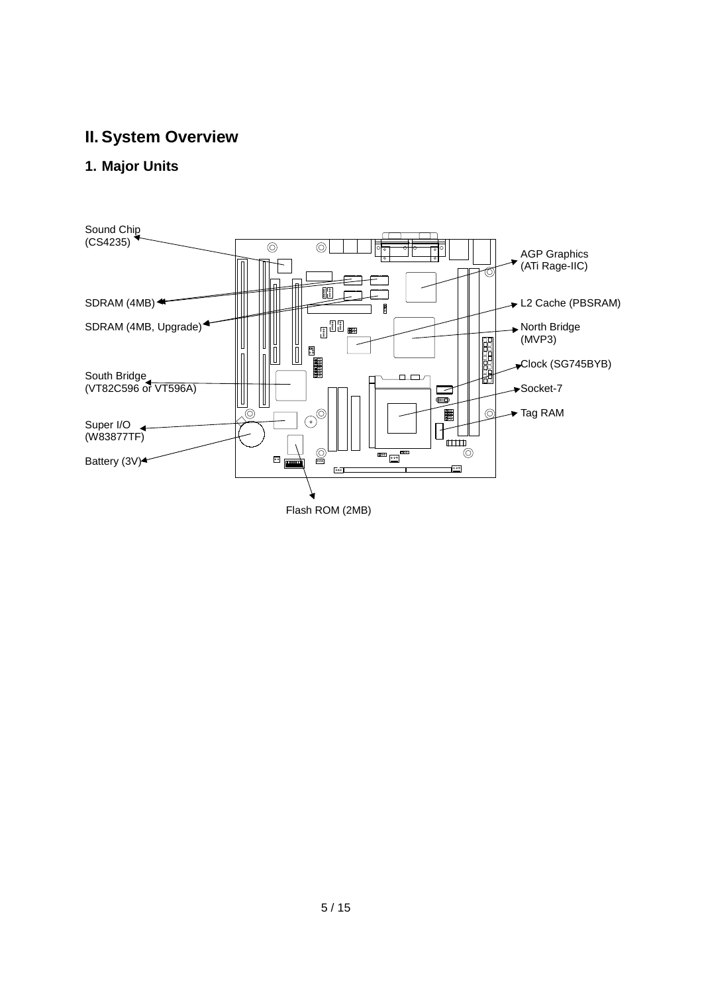## **II. System Overview**

## **1. Major Units**



Flash ROM (2MB)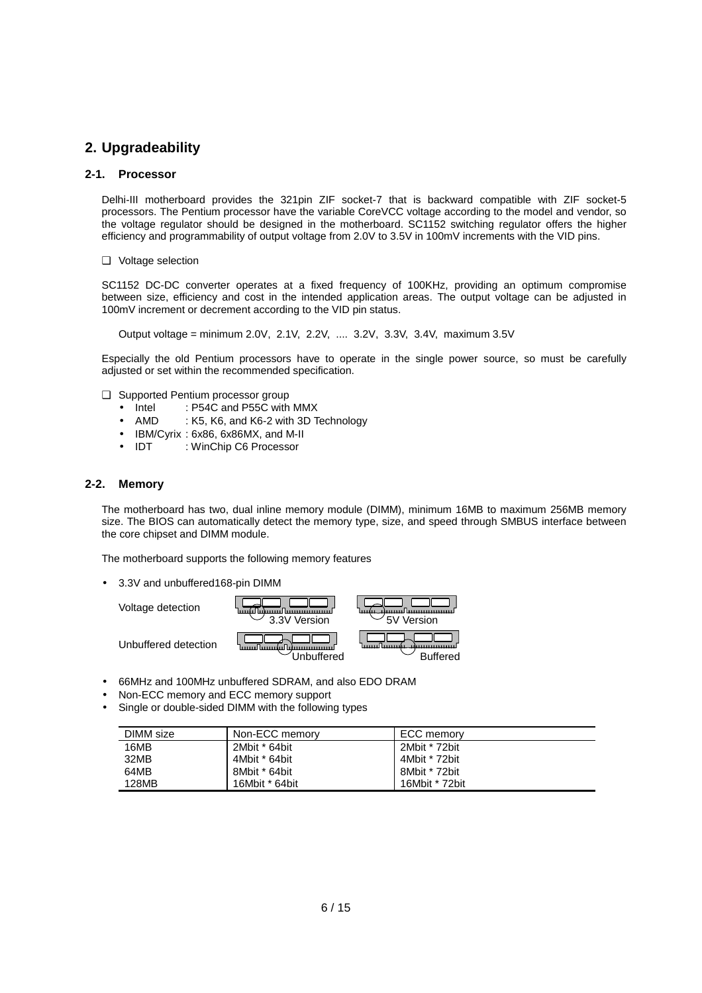### **2. Upgradeability**

#### **2-1. Processor**

Delhi-III motherboard provides the 321pin ZIF socket-7 that is backward compatible with ZIF socket-5 processors. The Pentium processor have the variable CoreVCC voltage according to the model and vendor, so the voltage regulator should be designed in the motherboard. SC1152 switching regulator offers the higher efficiency and programmability of output voltage from 2.0V to 3.5V in 100mV increments with the VID pins.

❑ Voltage selection

SC1152 DC-DC converter operates at a fixed frequency of 100KHz, providing an optimum compromise between size, efficiency and cost in the intended application areas. The output voltage can be adjusted in 100mV increment or decrement according to the VID pin status.

Output voltage = minimum 2.0V, 2.1V, 2.2V, .... 3.2V, 3.3V, 3.4V, maximum 3.5V

Especially the old Pentium processors have to operate in the single power source, so must be carefully adjusted or set within the recommended specification.

- ❑ Supported Pentium processor group
	- Intel : P54C and P55C with MMX
	- AMD : K5, K6, and K6-2 with 3D Technology
	- IBM/Cyrix : 6x86, 6x86MX, and M-II
	- IDT : WinChip C6 Processor

#### **2-2. Memory**

The motherboard has two, dual inline memory module (DIMM), minimum 16MB to maximum 256MB memory size. The BIOS can automatically detect the memory type, size, and speed through SMBUS interface between the core chipset and DIMM module.

The motherboard supports the following memory features

• 3.3V and unbuffered168-pin DIMM



- 66MHz and 100MHz unbuffered SDRAM, and also EDO DRAM
- Non-ECC memory and ECC memory support
- Single or double-sided DIMM with the following types

| DIMM size | Non-ECC memory | ECC memory     |
|-----------|----------------|----------------|
| 16MB      | 2Mbit * 64bit  | 2Mbit * 72bit  |
| 32MB      | 4Mbit * 64bit  | 4Mbit * 72bit  |
| 64MB      | 8Mbit * 64bit  | 8Mbit * 72bit  |
| 128MB     | 16Mbit * 64bit | 16Mbit * 72bit |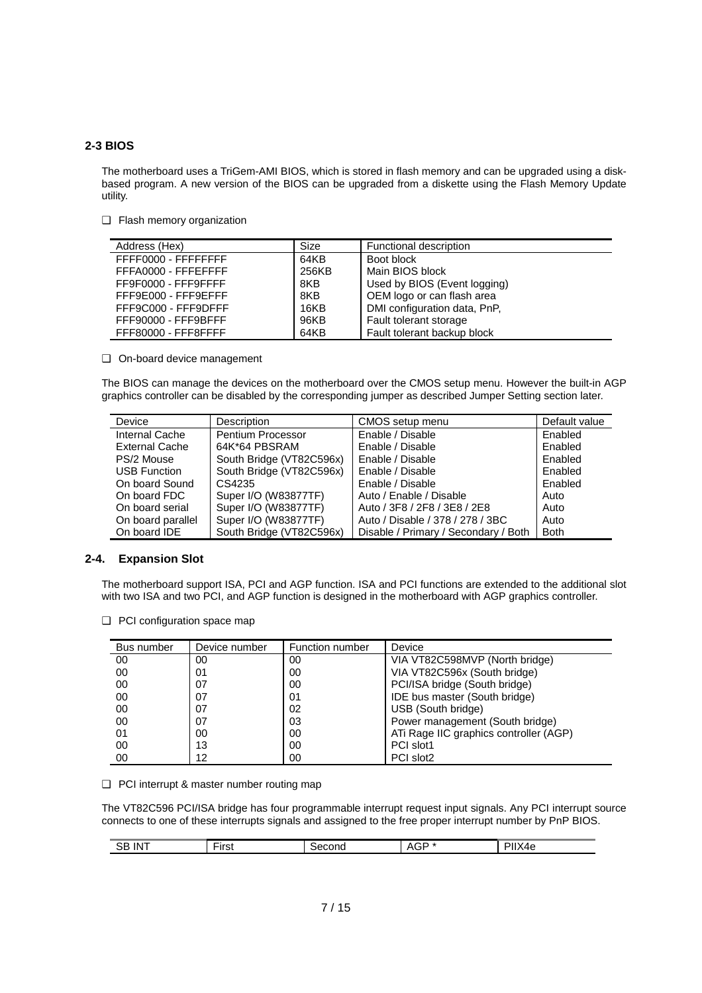#### **2-3 BIOS**

The motherboard uses a TriGem-AMI BIOS, which is stored in flash memory and can be upgraded using a diskbased program. A new version of the BIOS can be upgraded from a diskette using the Flash Memory Update utility.

❑ Flash memory organization

| Address (Hex)       | Size  | Functional description       |
|---------------------|-------|------------------------------|
| FFFF0000 - FFFFFFFF | 64KB  | Boot block                   |
| FFFA0000 - FFFEFFFF | 256KB | Main BIOS block              |
| FF9F0000 - FFF9FFFF | 8KB   | Used by BIOS (Event logging) |
| FFF9E000 - FFF9EFFF | 8KB   | OEM logo or can flash area   |
| FFF9C000 - FFF9DFFF | 16KB  | DMI configuration data, PnP, |
| FFF90000 - FFF9BFFF | 96KB  | Fault tolerant storage       |
| FFF80000 - FFF8FFFF | 64KB  | Fault tolerant backup block  |

❑ On-board device management

The BIOS can manage the devices on the motherboard over the CMOS setup menu. However the built-in AGP graphics controller can be disabled by the corresponding jumper as described Jumper Setting section later.

| Device                | <b>Description</b>       | CMOS setup menu                      | Default value |
|-----------------------|--------------------------|--------------------------------------|---------------|
| Internal Cache        | Pentium Processor        | Enable / Disable                     | Enabled       |
| <b>External Cache</b> | 64K*64 PBSRAM            | Enable / Disable                     | Enabled       |
| PS/2 Mouse            | South Bridge (VT82C596x) | Enable / Disable                     | Enabled       |
| <b>USB Function</b>   | South Bridge (VT82C596x) | Enable / Disable                     | Enabled       |
| On board Sound        | CS4235                   | Enable / Disable                     | Enabled       |
| On board FDC          | Super I/O (W83877TF)     | Auto / Enable / Disable              | Auto          |
| On board serial       | Super I/O (W83877TF)     | Auto / 3F8 / 2F8 / 3E8 / 2E8         | Auto          |
| On board parallel     | Super I/O (W83877TF)     | Auto / Disable / 378 / 278 / 3BC     | Auto          |
| On board IDE          | South Bridge (VT82C596x) | Disable / Primary / Secondary / Both | <b>Both</b>   |

#### **2-4. Expansion Slot**

The motherboard support ISA, PCI and AGP function. ISA and PCI functions are extended to the additional slot with two ISA and two PCI, and AGP function is designed in the motherboard with AGP graphics controller.

- Bus number | Device number | Function number | Device 00 00 00 00 00 00 VIA VT82C598MVP (North bridge) 00 00 01 01 00 VIA VT82C596x (South bridge) 00 07 00 PCI/ISA bridge (South bridge)<br>00 07 01 1DE bus master (South bridge) 07 01 01 IDE bus master (South bridge)<br>07 02 USB (South bridge) 00 | 07 | 02 | USB (South bridge) 00 07 03 Power management (South bridge) 01 00 00 00 ATi Rage IIC graphics controller (AGP) 00 13 00 PCI slot1 00 12 00 PCI slot2
- ❑ PCI configuration space map

❑ PCI interrupt & master number routing map

The VT82C596 PCI/ISA bridge has four programmable interrupt request input signals. Any PCI interrupt source connects to one of these interrupts signals and assigned to the free proper interrupt number by PnP BIOS.

| <br>3B.<br>INT | --<br>Lirot<br>11 J L | <b>CONG</b><br>∼ | _<br>Λ.<br>no. | ำ≏<br>∼<br>. |
|----------------|-----------------------|------------------|----------------|--------------|
|                |                       |                  |                |              |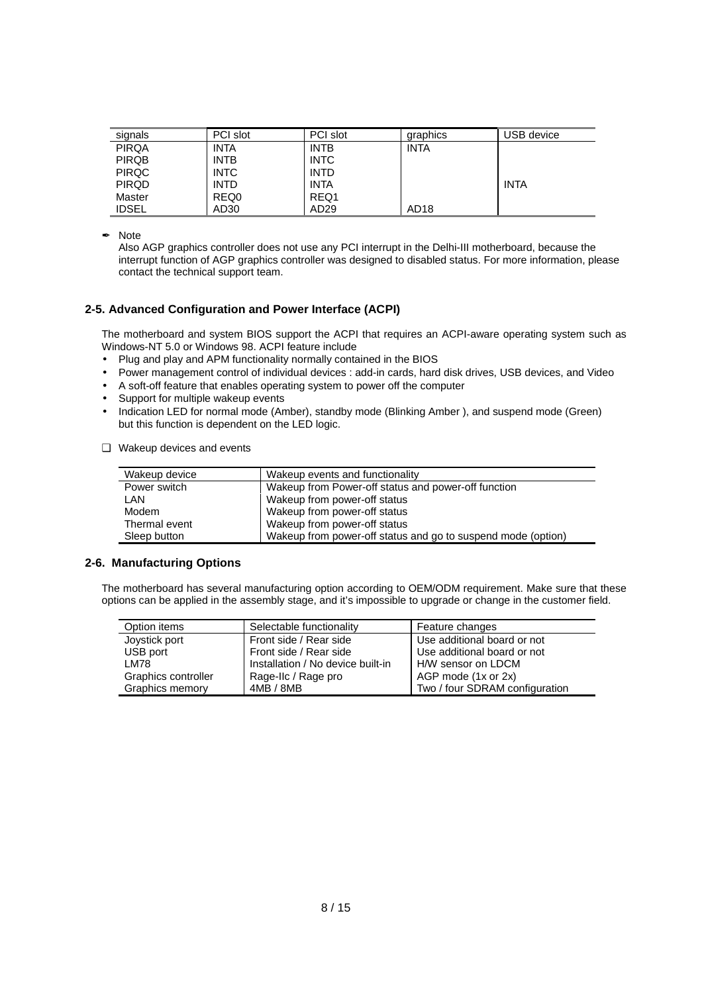| signals      | PCI slot    | PCI slot         | graphics         | USB device  |
|--------------|-------------|------------------|------------------|-------------|
| <b>PIRQA</b> | INTA        | <b>INTB</b>      | <b>INTA</b>      |             |
| <b>PIRQB</b> | <b>INTB</b> | <b>INTC</b>      |                  |             |
| <b>PIRQC</b> | <b>INTC</b> | <b>INTD</b>      |                  |             |
| <b>PIRQD</b> | <b>INTD</b> | <b>INTA</b>      |                  | <b>INTA</b> |
| Master       | REQ0        | REQ1             |                  |             |
| <b>IDSEL</b> | AD30        | AD <sub>29</sub> | AD <sub>18</sub> |             |

**∕** Note

Also AGP graphics controller does not use any PCI interrupt in the Delhi-III motherboard, because the interrupt function of AGP graphics controller was designed to disabled status. For more information, please contact the technical support team.

#### **2-5. Advanced Configuration and Power Interface (ACPI)**

The motherboard and system BIOS support the ACPI that requires an ACPI-aware operating system such as Windows-NT 5.0 or Windows 98. ACPI feature include

- Plug and play and APM functionality normally contained in the BIOS
- Power management control of individual devices : add-in cards, hard disk drives, USB devices, and Video
- A soft-off feature that enables operating system to power off the computer
- Support for multiple wakeup events
- Indication LED for normal mode (Amber), standby mode (Blinking Amber ), and suspend mode (Green) but this function is dependent on the LED logic.
- ❑ Wakeup devices and events

| Wakeup device | Wakeup events and functionality                              |
|---------------|--------------------------------------------------------------|
| Power switch  | Wakeup from Power-off status and power-off function          |
| LAN           | Wakeup from power-off status                                 |
| Modem         | Wakeup from power-off status                                 |
| Thermal event | Wakeup from power-off status                                 |
| Sleep button  | Wakeup from power-off status and go to suspend mode (option) |

#### **2-6. Manufacturing Options**

The motherboard has several manufacturing option according to OEM/ODM requirement. Make sure that these options can be applied in the assembly stage, and it's impossible to upgrade or change in the customer field.

| Option items        | Selectable functionality          | Feature changes                |
|---------------------|-----------------------------------|--------------------------------|
| Joystick port       | Front side / Rear side            | Use additional board or not    |
| USB port            | Front side / Rear side            | Use additional board or not    |
| <b>LM78</b>         | Installation / No device built-in | H/W sensor on LDCM             |
| Graphics controller | Rage-IIc / Rage pro               | AGP mode (1x or 2x)            |
| Graphics memory     | 4MB / 8MB                         | Two / four SDRAM configuration |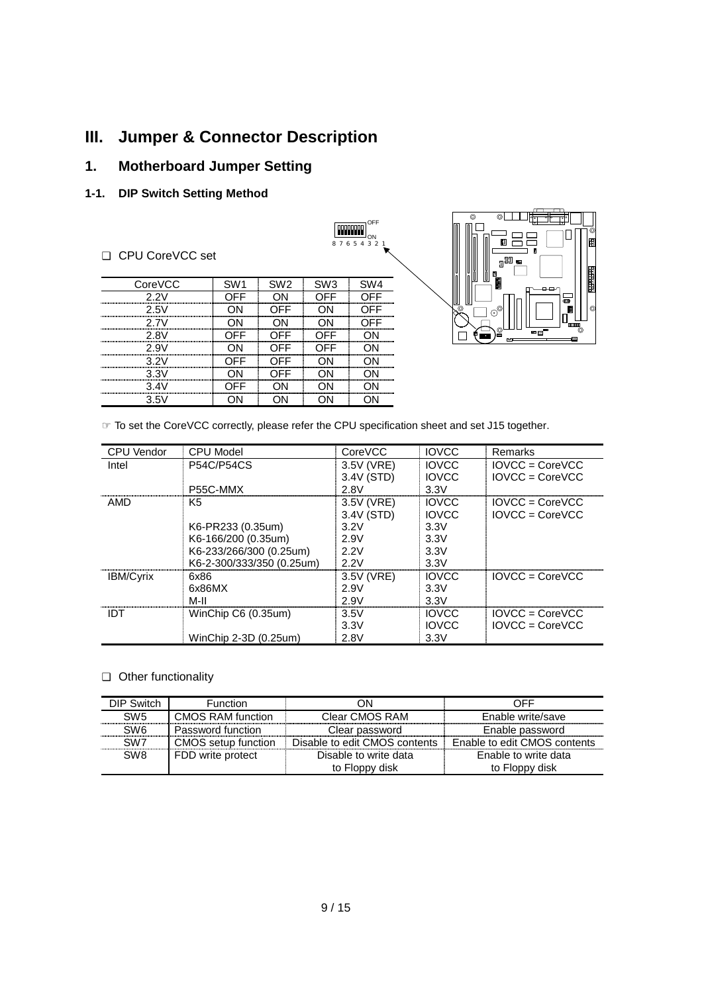## **III. Jumper & Connector Description**

## **1. Motherboard Jumper Setting**

## **1-1. DIP Switch Setting Method**

#### ❑ CPU CoreVCC set

| CoreVCC | SW <sub>1</sub> | SW <sub>2</sub> | SW <sub>3</sub> | SW <sub>4</sub> |
|---------|-----------------|-----------------|-----------------|-----------------|
| 2 2V    | ∩FF             |                 | OFF             | ∩FF             |
| 2.5V    |                 | OFF             | ΩN              | OFF             |
| 2 7V    |                 | וחר             |                 | ∩FF             |
| 2.8V    | NFF             | OFF             | OFF             |                 |
| 2.9V    |                 | OFF             | OFF             |                 |
| 3.2V    | าFF             | OFF             |                 |                 |
| 3.3V    |                 | OFF             |                 |                 |
| 3.4V    | )FF             |                 |                 |                 |
| 3.5V    |                 |                 |                 |                 |



☞ To set the CoreVCC correctly, please refer the CPU specification sheet and set J15 together.

| <b>CPU Vendor</b> | <b>CPU Model</b>          | CoreVCC    | <b>IOVCC</b> | Remarks           |
|-------------------|---------------------------|------------|--------------|-------------------|
| Intel             | <b>P54C/P54CS</b>         | 3.5V (VRE) | <b>IOVCC</b> | $IOVCC = CoreVCC$ |
|                   |                           | 3.4V (STD) | <b>IOVCC</b> | $IOVCC = CoreVCC$ |
|                   | P55C-MMX                  | 2.8V       | 3.3V         |                   |
| AMD               | K5                        | 3.5V (VRE) | <b>IOVCC</b> | $IOVCC = CoreVCC$ |
|                   |                           | 3.4V (STD) | <b>IOVCC</b> | $IOVCC = CoreVCC$ |
|                   | K6-PR233 (0.35um)         | 3.2V       | 3.3V         |                   |
|                   | K6-166/200 (0.35um)       | 2.9V       | 3.3V         |                   |
|                   | K6-233/266/300 (0.25um)   | 2.2V       | 3.3V         |                   |
|                   | K6-2-300/333/350 (0.25um) | 2.2V       | 3.3V         |                   |
| <b>IBM/Cyrix</b>  | 6x86                      | 3.5V (VRE) | <b>IOVCC</b> | $IOVCC = CoreVCC$ |
|                   | 6x86MX                    | 2.9V       | 3.3V         |                   |
|                   | M-II                      | 2.9V       | 3.3V         |                   |
| IDT               | WinChip C6 (0.35um)       | 3.5V       | <b>IOVCC</b> | $IOVCC = CoreVCC$ |
|                   |                           | 3.3V       | <b>IOVCC</b> | $IOVCC = CoreVCC$ |
|                   | WinChip 2-3D (0.25um)     | 2.8V       | 3.3V         |                   |

 OFF ON 8 7 6 5 4 2 2

**Freeman** 

#### ❑ Other functionality

| DIP Switch      | <b>Function</b>          | JΝ                            | OFF                          |
|-----------------|--------------------------|-------------------------------|------------------------------|
| SW <sub>5</sub> | <b>CMOS RAM function</b> | Clear CMOS RAM                | Enable write/save            |
| SW <sub>6</sub> | Password function        | Clear password                | Enable password              |
| SW <sub>7</sub> | CMOS setup function      | Disable to edit CMOS contents | Enable to edit CMOS contents |
| SW <sub>8</sub> | FDD write protect        | Disable to write data         | Enable to write data         |
|                 |                          | to Floppy disk                | to Floppy disk               |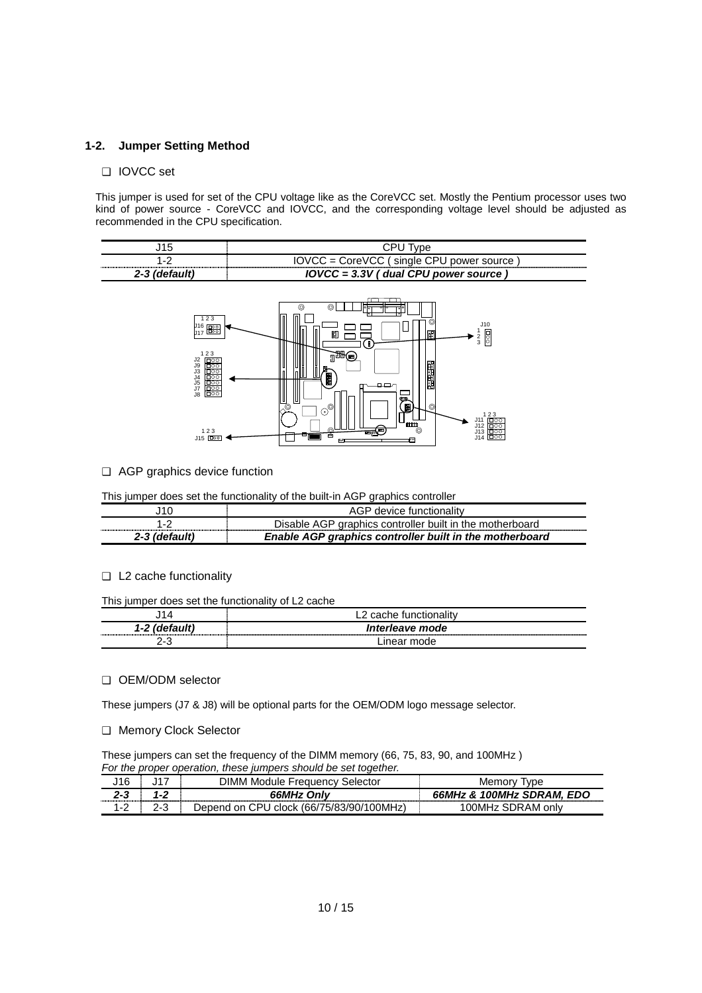#### **1-2. Jumper Setting Method**

#### ❑ IOVCC set

This jumper is used for set of the CPU voltage like as the CoreVCC set. Mostly the Pentium processor uses two kind of power source - CoreVCC and IOVCC, and the corresponding voltage level should be adjusted as recommended in the CPU specification.

| ╺    |                                              |
|------|----------------------------------------------|
| -    | ∵sinale CPL∟<br>$INCC =$<br>CorollCC<br>ırce |
| 7.7. | $IOVCC = 3.3V$<br>dual CPU<br>power source   |



#### ❑ AGP graphics device function

This jumper does set the functionality of the built-in AGP graphics controller

| '10           | AGP device functionality                                 |  |  |  |  |
|---------------|----------------------------------------------------------|--|--|--|--|
|               | Disable AGP graphics controller built in the motherboard |  |  |  |  |
| 2-3 (default) | Enable AGP graphics controller built in the motherboard  |  |  |  |  |

#### ❑ L2 cache functionality

#### This jumper does set the functionality of L2 cache

|                      | . cache functionalitv |
|----------------------|-----------------------|
| $1 - 2$<br>(detault) | Interleave mode       |
| ה ה                  | inear mode            |

#### ❑ OEM/ODM selector

These jumpers (J7 & J8) will be optional parts for the OEM/ODM logo message selector.

#### ❑ Memory Clock Selector

These jumpers can set the frequency of the DIMM memory (66, 75, 83, 90, and 100MHz ) *For the proper operation, these jumpers should be set together.*

| 116     | DIMM Module Frequency<br>selector                     | Memo                                 |
|---------|-------------------------------------------------------|--------------------------------------|
| 2-2<br> | 66MHz Only                                            | <b>66MHz &amp; 100MHz SDRAM, EDO</b> |
|         | CPL.<br>⊑clock (66/75/83/90/100MHz)<br>l on<br>Denend | SDRAM<br>100MHz                      |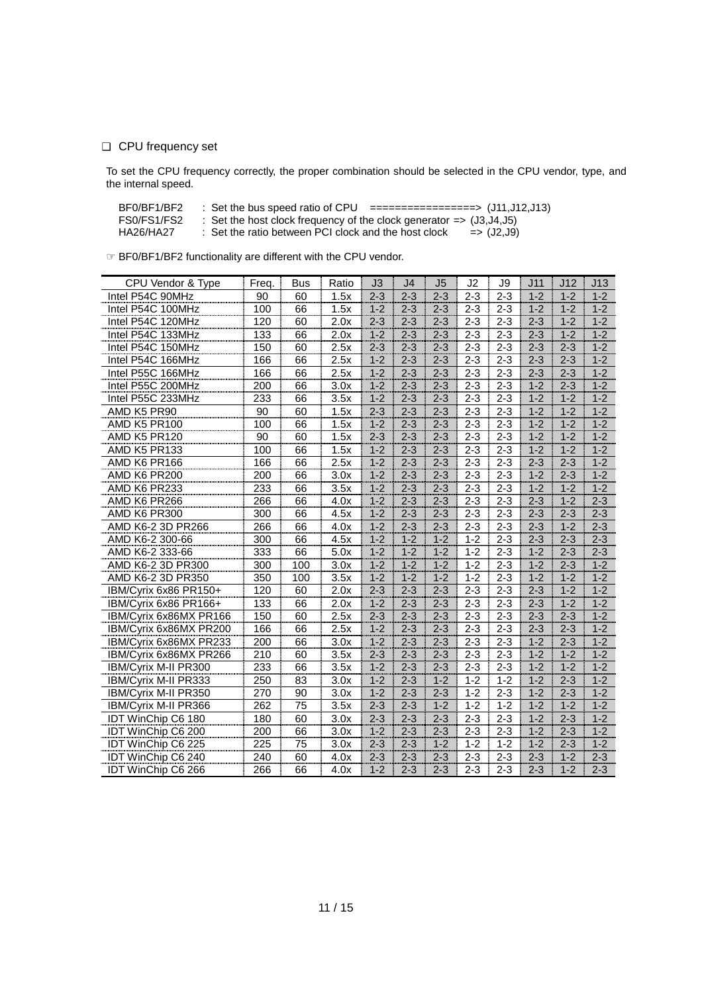#### ❑ CPU frequency set

To set the CPU frequency correctly, the proper combination should be selected in the CPU vendor, type, and the internal speed.

| BF0/BF1/BF2 | ==================> (J11,J12,J13)<br>: Set the bus speed ratio of CPU            |
|-------------|----------------------------------------------------------------------------------|
| FS0/FS1/FS2 | : Set the host clock frequency of the clock generator $\Rightarrow$ (J3, J4, J5) |

HA26/HA27 : Set the ratio between PCI clock and the host clock => (J2,J9)

☞ BF0/BF1/BF2 functionality are different with the CPU vendor.

| CPU Vendor & Type         | Freq. | Bus | Ratio | J3      | J4      | J <sub>5</sub> | J2      | J9      | J11     | J12     | J13             |
|---------------------------|-------|-----|-------|---------|---------|----------------|---------|---------|---------|---------|-----------------|
| Intel P54C 90MHz          | 90    | 60  | 1.5x  | $2 - 3$ | $2 - 3$ | $2 - 3$        | $2 - 3$ | $2 - 3$ | $1 - 2$ | $1 - 2$ | $1 - 2$         |
| Intel P54C 100MHz         | 100   | 66  | 1.5x  | $1 - 2$ | $2 - 3$ | $2 - 3$        | $2 - 3$ | $2 - 3$ | $1 - 2$ | $1 - 2$ | $1 - 2$         |
| Intel P54C 120MHz         | 120   | 60  | 2.0x  | $2 - 3$ | $2 - 3$ | $2 - 3$        | $2 - 3$ | $2 - 3$ | $2 - 3$ | $1 - 2$ | $1-2$           |
| Intel P54C 133MHz         | 133   | 66  | 2.0x  | $1 - 2$ | $2 - 3$ | $2 - 3$        | $2 - 3$ | $2 - 3$ | $2 - 3$ | $1 - 2$ | $1 - 2$         |
| Intel P54C 150MHz         | 150   | 60  | 2.5x  | $2 - 3$ | $2 - 3$ | $2 - 3$        | $2 - 3$ | $2 - 3$ | $2 - 3$ | $2 - 3$ | $\frac{1}{1-2}$ |
| Intel P54C 166MHz         | 166   | 66  | 2.5x  | $1 - 2$ | $2 - 3$ | $2 - 3$        | $2 - 3$ | $2 - 3$ | $2 - 3$ | $2 - 3$ | $1 - 2$         |
| Intel P55C 166MHz         | 166   | 66  | 2.5x  | $1 - 2$ | $2 - 3$ | $2 - 3$        | $2 - 3$ | $2 - 3$ | $2 - 3$ | $2 - 3$ | $1 - 2$         |
| Intel P55C 200MHz         | 200   | 66  | 3.0x  | $1-2$   | $2 - 3$ | $2 - 3$        | $2 - 3$ | $2 - 3$ | $1 - 2$ | $2 - 3$ | $1 - 2$         |
| Intel P55C 233MHz         | 233   | 66  | 3.5x  | $1 - 2$ | $2 - 3$ | $2 - 3$        | $2 - 3$ | $2 - 3$ | $1 - 2$ | $1 - 2$ | $1 - 2$         |
| AMD K5 PR90               | 90    | 60  | 1.5x  | $2 - 3$ | $2 - 3$ | $2 - 3$        | $2 - 3$ | $2 - 3$ | $1 - 2$ | $1 - 2$ | $1-2$           |
| AMD K5 PR100              | 100   | 66  | 1.5x  | $1 - 2$ | $2 - 3$ | $2 - 3$        | $2 - 3$ | $2 - 3$ | $1 - 2$ | $1 - 2$ | $1 - 2$         |
| <b>AMD K5 PR120</b>       | 90    | 60  | 1.5x  | $2 - 3$ | $2 - 3$ | $2 - 3$        | $2 - 3$ | $2 - 3$ | $1 - 2$ | $1 - 2$ | $1 - 2$         |
| AMD K5 PR133              | 100   | 66  | 1.5x  | $1 - 2$ | $2 - 3$ | $2 - 3$        | $2 - 3$ | $2 - 3$ | $1 - 2$ | $1 - 2$ | $1-2$           |
| AMD K6 PR166              | 166   | 66  | 2.5x  | $1 - 2$ | $2 - 3$ | $2 - 3$        | $2 - 3$ | $2 - 3$ | $2 - 3$ | $2 - 3$ | $1 - 2$         |
| AMD K6 PR200              | 200   | 66  | 3.0x  | $1 - 2$ | $2 - 3$ | $2 - 3$        | $2 - 3$ | $2 - 3$ | $1 - 2$ | $2 - 3$ | $1 - 2$         |
| AMD K6 PR233              | 233   | 66  | 3.5x  | $1 - 2$ | $2 - 3$ | $2 - 3$        | $2 - 3$ | $2 - 3$ | $1 - 2$ | $1 - 2$ | $1-2$           |
| AMD K6 PR266              | 266   | 66  | 4.0x  | $1 - 2$ | $2 - 3$ | $2 - 3$        | $2 - 3$ | $2 - 3$ | $2 - 3$ | $1 - 2$ | $2 - 3$         |
| AMD K6 PR300              | 300   | 66  | 4.5x  | $1 - 2$ | $2 - 3$ | $2 - 3$        | $2 - 3$ | $2 - 3$ | $2 - 3$ | $2 - 3$ | $2 - 3$         |
| AMD K6-2 3D PR266         | 266   | 66  | 4.0x  | $1 - 2$ | $2 - 3$ | $2 - 3$        | $2 - 3$ | $2 - 3$ | $2 - 3$ | $1 - 2$ | $2 - 3$         |
| AMD K6-2 300-66           | 300   | 66  | 4.5x  | $1-2$   | $1 - 2$ | $1 - 2$        | $1 - 2$ | $2 - 3$ | $2 - 3$ | $2 - 3$ | $2 - 3$         |
| AMD K6-2 333-66           | 333   | 66  | 5.0x  | $1 - 2$ | $1 - 2$ | $1 - 2$        | $1 - 2$ | $2 - 3$ | $1 - 2$ | $2 - 3$ | $2 - 3$         |
| AMD K6-2 3D PR300         | 300   | 100 | 3.0x  | $1 - 2$ | $1 - 2$ | $1 - 2$        | $1 - 2$ | $2 - 3$ | $1 - 2$ | $2 - 3$ | $1 - 2$         |
| AMD K6-2 3D PR350         | 350   | 100 | 3.5x  | $1 - 2$ | $1 - 2$ | $1 - 2$        | $1 - 2$ | $2 - 3$ | $1 - 2$ | $1 - 2$ | $1 - 2$         |
| IBM/Cyrix 6x86 PR150+     | 120   | 60  | 2.0x  | $2 - 3$ | $2 - 3$ | $2 - 3$        | $2 - 3$ | $2 - 3$ | $2 - 3$ | $1 - 2$ | $1 - 2$         |
| IBM/Cyrix 6x86 PR166+     | 133   | 66  | 2.0x  | $1 - 2$ | $2 - 3$ | $2 - 3$        | $2 - 3$ | $2 - 3$ | $2 - 3$ | $1 - 2$ | $1 - 2$         |
| IBM/Cyrix 6x86MX PR166    | 150   | 60  | 2.5x  | $2 - 3$ | $2 - 3$ | $2 - 3$        | $2 - 3$ | $2 - 3$ | $2 - 3$ | $2 - 3$ | $1 - 2$         |
| IBM/Cyrix 6x86MX PR200    | 166   | 66  | 2.5x  | $1 - 2$ | $2 - 3$ | $2 - 3$        | $2 - 3$ | $2 - 3$ | $2 - 3$ | $2 - 3$ | $1 - 2$         |
| IBM/Cyrix 6x86MX PR233    | 200   | 66  | 3.0x  | $1 - 2$ | $2 - 3$ | $2 - 3$        | $2 - 3$ | $2 - 3$ | $1 - 2$ | $2 - 3$ | $1 - 2$         |
| IBM/Cyrix 6x86MX PR266    | 210   | 60  | 3.5x  | $2 - 3$ | $2 - 3$ | $2 - 3$        | $2 - 3$ | $2 - 3$ | $1 - 2$ | $1 - 2$ | $1 - 2$         |
| IBM/Cyrix M-II PR300      | 233   | 66  | 3.5x  | $1 - 2$ | $2 - 3$ | $2 - 3$        | $2 - 3$ | $2 - 3$ | $1 - 2$ | $1 - 2$ | $1 - 2$         |
| IBM/Cyrix M-II PR333      | 250   | 83  | 3.0x  | $1 - 2$ | $2 - 3$ | $1 - 2$        | $1 - 2$ | $1 - 2$ | $1 - 2$ | $2 - 3$ | $1 - 2$         |
| IBM/Cyrix M-II PR350      | 270   | 90  | 3.0x  | $1 - 2$ | $2 - 3$ | $2 - 3$        | $1 - 2$ | $2 - 3$ | $1-2$   | $2 - 3$ | $1 - 2$         |
| IBM/Cyrix M-II PR366      | 262   | 75  | 3.5x  | $2 - 3$ | $2 - 3$ | $1 - 2$        | $1 - 2$ | $1 - 2$ | $1 - 2$ | $1 - 2$ | $1 - 2$         |
| <b>IDT WinChip C6 180</b> | 180   | 60  | 3.0x  | $2 - 3$ | $2 - 3$ | $2 - 3$        | $2 - 3$ | $2 - 3$ | $1 - 2$ | $2 - 3$ | $1 - 2$         |
| IDT WinChip C6 200        | 200   | 66  | 3.0x  | $1 - 2$ | $2 - 3$ | $2 - 3$        | $2 - 3$ | $2 - 3$ | $1 - 2$ | $2 - 3$ | $1 - 2$         |
| IDT WinChip C6 225        | 225   | 75  | 3.0x  | $2 - 3$ | $2 - 3$ | $1 - 2$        | $1 - 2$ | $1 - 2$ | $1 - 2$ | $2 - 3$ | $1 - 2$         |
| IDT WinChip C6 240        | 240   | 60  | 4.0x  | $2 - 3$ | $2 - 3$ | $2 - 3$        | $2 - 3$ | $2 - 3$ | $2 - 3$ | $1 - 2$ | $2 - 3$         |
| <b>IDT WinChip C6 266</b> | 266   | 66  | 4.0x  | $1 - 2$ | $2 - 3$ | $2 - 3$        | $2 - 3$ | $2 - 3$ | $2 - 3$ | $1 - 2$ | $2 - 3$         |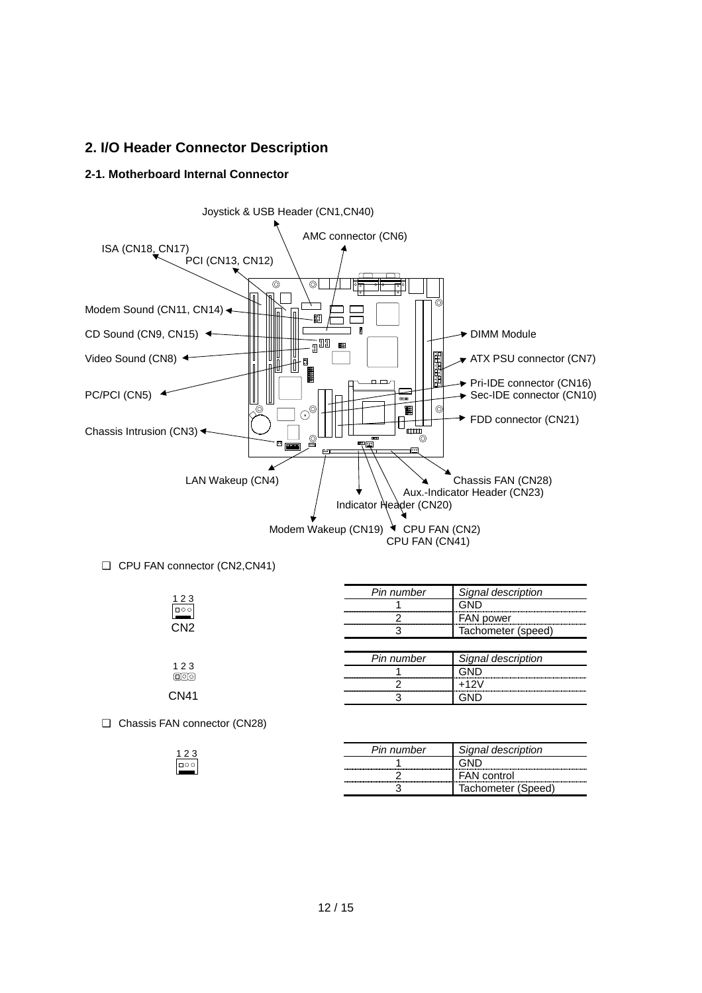### **2. I/O Header Connector Description**

### **2-1. Motherboard Internal Connector**



|                 | Pin number                  | Signal description |
|-----------------|-----------------------------|--------------------|
| 123             |                             | GND                |
| $\boxed{ }$     |                             | <b>FAN power</b>   |
| CN <sub>2</sub> |                             | Tachometer (speed) |
|                 |                             |                    |
|                 |                             |                    |
|                 | Pin number                  | Signal description |
| 123             |                             | GND                |
|                 | --------------------------- | $+12V$             |

❑ Chassis FAN connector (CN28)

| ົ              | Pin number                            | <i>dnai</i><br>description |
|----------------|---------------------------------------|----------------------------|
| $\Box$ $\circ$ | ,,,,,,,,,,                            |                            |
|                | ------------------------------------- | <b>FAN</b> control         |
|                | --------------                        | (Speed)<br>Iachometer      |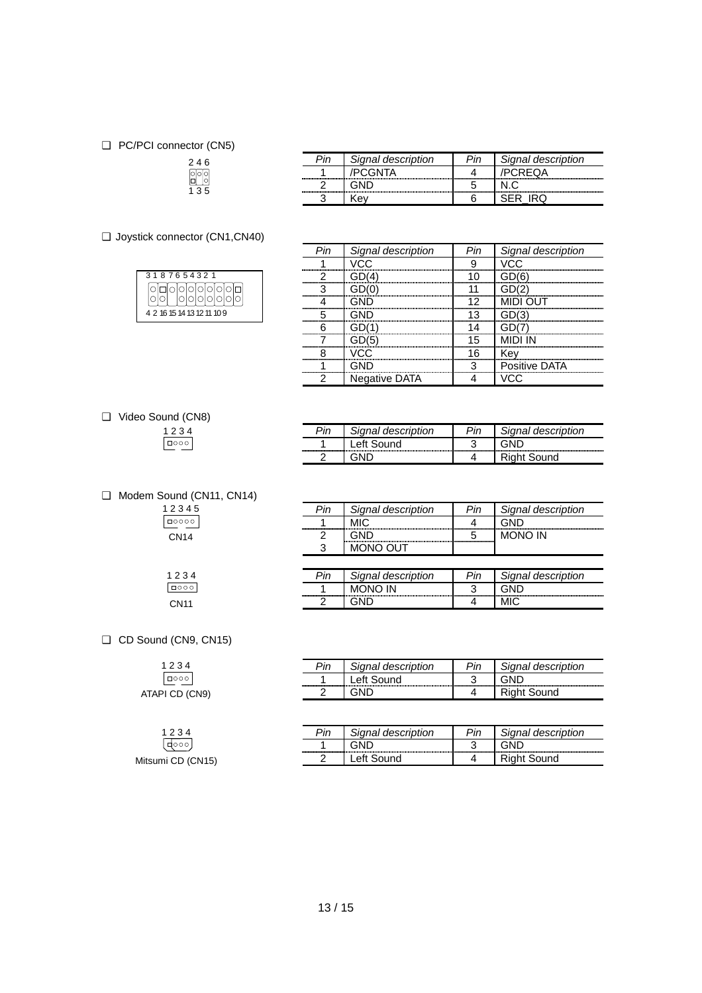#### ❑ PC/PCI connector (CN5)

## 2 4 6 1 3 5

❑ Joystick connector (CN1,CN40)

| 3187654321                 |         |  |  |  |  |  |  |
|----------------------------|---------|--|--|--|--|--|--|
|                            | 0000000 |  |  |  |  |  |  |
| 4 2 16 15 14 13 12 11 10 9 |         |  |  |  |  |  |  |

|          | Signal description | Signal description |
|----------|--------------------|--------------------|
|          |                    |                    |
| -------- |                    |                    |
|          |                    |                    |

|                                | Signal description   |                           | Signal description |
|--------------------------------|----------------------|---------------------------|--------------------|
|                                |                      |                           |                    |
|                                |                      |                           |                    |
|                                |                      |                           |                    |
| ,,,,,,,,,,,,,,,,,,,,,,,,,,,,,, |                      | ,,,,,,,,,,,,,,,,,,,,,     |                    |
|                                |                      | ------------<br>--------- |                    |
|                                |                      | <br>                      |                    |
|                                |                      | ------------------        |                    |
|                                |                      |                           |                    |
|                                |                      |                           | Positive DATA      |
| ◠                              | <b>Negative DATA</b> |                           |                    |

#### ❑ Video Sound (CN8) 1 2 3 4

| v |
|---|
|   |

| Signal description | <b>Din</b> | Signal description |
|--------------------|------------|--------------------|
| ound               | ◠<br>۰.    |                    |
|                    |            | Sound              |

❑ Modem Sound (CN11, CN14)

| 23<br>4      |  |  |
|--------------|--|--|
| $\circ$<br>с |  |  |
| Δ            |  |  |

 $\begin{array}{|c|c|}\n 1 & 2 & 3 & 4 \\
\hline\n 0 & 0 & 0 & 0\n\end{array}$ CN11

| Pin | Signal description              | <b>Din</b> | Signal description |
|-----|---------------------------------|------------|--------------------|
|     |                                 |            |                    |
|     | <br>--------------------------- |            |                    |
| ╭   |                                 |            |                    |

| Pin | Signal description | Pin | Signal description |
|-----|--------------------|-----|--------------------|
|     |                    |     |                    |
|     |                    |     |                    |

❑ CD Sound (CN9, CN15)

| 1234           |  |  |  |  |
|----------------|--|--|--|--|
|                |  |  |  |  |
| ATAPI CD (CN9) |  |  |  |  |

| 1234              |
|-------------------|
| (क्ल्ज़)          |
| Mitsumi CD (CN15) |

| Pin | Signal description | Pin | Signal description |
|-----|--------------------|-----|--------------------|
|     | Left Sound         |     |                    |
|     |                    |     | <b>Right Sound</b> |
|     |                    |     |                    |

| Dir | qnal description | 'n                          | Signal description |
|-----|------------------|-----------------------------|--------------------|
|     |                  | -------------<br>---------- |                    |
|     |                  |                             |                    |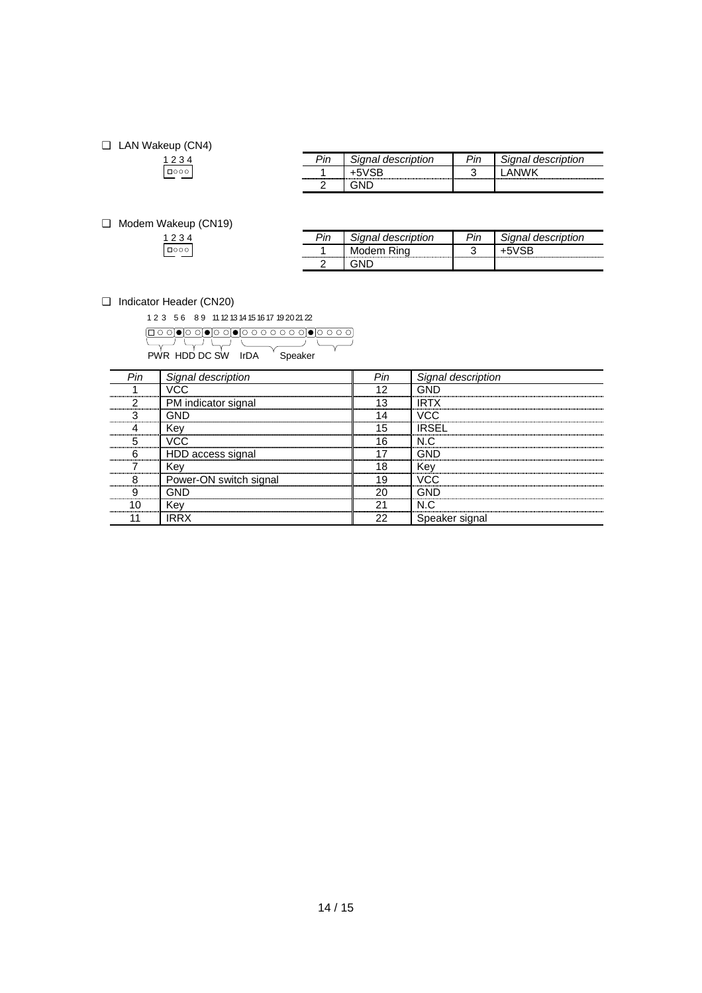## ❑ LAN Wakeup (CN4)  $1234$

| יים | ignal description | ın | Signal description |
|-----|-------------------|----|--------------------|
|     |                   |    |                    |
|     |                   |    |                    |

#### ❑ Modem Wakeup (CN19)

| 1234     |  |  |
|----------|--|--|
| I nooo I |  |  |

| Pin                          | วิignal description | ⊳in | Signal description |
|------------------------------|---------------------|-----|--------------------|
| ,,,,,,,,,,,,,,,,,,,,,,,,,,,, | Modem Rina          |     |                    |
|                              |                     |     |                    |

#### ❑ Indicator Header (CN20)

1 2 3 5 6 8 9 11 12 13 14 15 16 17 19 20 21 22

PWR HDD DC SW IrDA Speaker

| Pin | Signal description     | Pin    | Signal description |
|-----|------------------------|--------|--------------------|
|     | VCC.                   | 10     |                    |
|     | PM indicator signal    | 13     | IRTX               |
|     | GND                    | .<br>. | VCC.               |
|     | Kev                    | 15     | IRSFI              |
|     | VCC.                   | 16<br> | N.C                |
|     | HDD access signal      |        | GND                |
|     | Kev                    | 18     | Kev                |
|     | Power-ON switch signal | 19     | ممار               |
|     | GND                    | 20     |                    |
|     | Kev                    | 21     | N C                |
|     | IRR X                  | 22     | Speaker signal     |